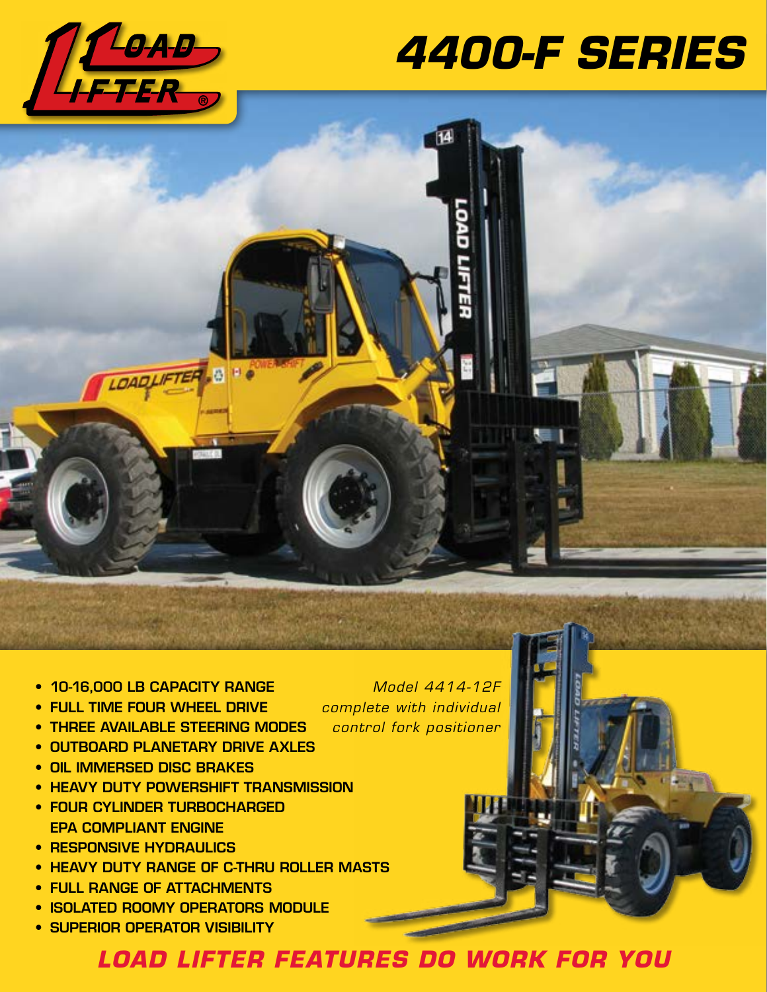

# *4400-F SERIES*



- 10-16,000 LB CAPACITY RANGE
- FULL TIME FOUR WHEEL DRIVE
- THREE AVAILABLE STEERING MODES
- OUTBOARD PLANETARY DRIVE AXLES
- OIL IMMERSED DISC BRAKES
- HEAVY DUTY POWERSHIFT TRANSMISSION
- FOUR CYLINDER TURBOCHARGED EPA COMPLIANT ENGINE
- RESPONSIVE HYDRAULICS
- HEAVY DUTY RANGE OF C-THRU ROLLER MASTS
- FULL RANGE OF ATTACHMENTS
- ISOLATED ROOMY OPERATORS MODULE
- SUPERIOR OPERATOR VISIBILITY

*Model 4414-12F complete with individual control fork positioner*

*LOAD LIFTER FEATURES DO WORK FOR YOU*